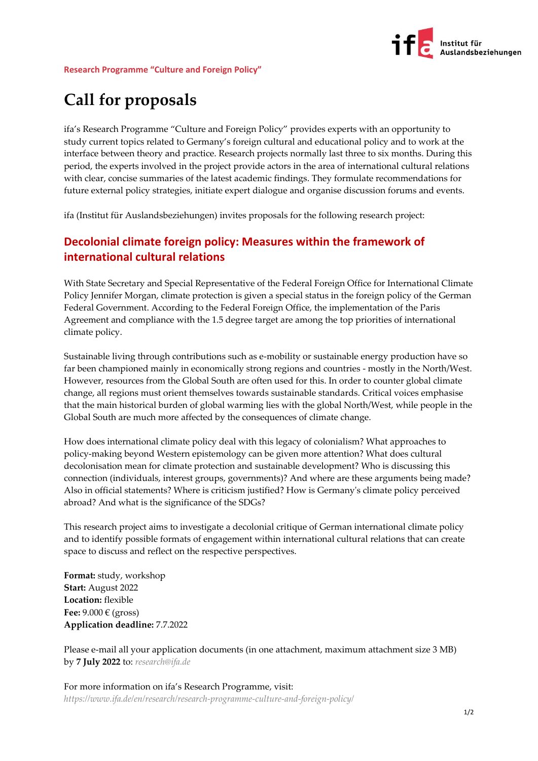

## **Call for proposals**

ifa's Research Programme "Culture and Foreign Policy" provides experts with an opportunity to study current topics related to Germany's foreign cultural and educational policy and to work at the interface between theory and practice. Research projects normally last three to six months. During this period, the experts involved in the project provide actors in the area of international cultural relations with clear, concise summaries of the latest academic findings. They formulate recommendations for future external policy strategies, initiate expert dialogue and organise discussion forums and events.

ifa (Institut für Auslandsbeziehungen) invites proposals for the following research project:

## **Decolonial climate foreign policy: Measures within the framework of international cultural relations**

With State Secretary and Special Representative of the Federal Foreign Office for International Climate Policy Jennifer Morgan, climate protection is given a special status in the foreign policy of the German Federal Government. According to the Federal Foreign Office, the implementation of the Paris Agreement and compliance with the 1.5 degree target are among the top priorities of international climate policy.

Sustainable living through contributions such as e-mobility or sustainable energy production have so far been championed mainly in economically strong regions and countries - mostly in the North/West. However, resources from the Global South are often used for this. In order to counter global climate change, all regions must orient themselves towards sustainable standards. Critical voices emphasise that the main historical burden of global warming lies with the global North/West, while people in the Global South are much more affected by the consequences of climate change.

How does international climate policy deal with this legacy of colonialism? What approaches to policy-making beyond Western epistemology can be given more attention? What does cultural decolonisation mean for climate protection and sustainable development? Who is discussing this connection (individuals, interest groups, governments)? And where are these arguments being made? Also in official statements? Where is criticism justified? How is Germany's climate policy perceived abroad? And what is the significance of the SDGs?

This research project aims to investigate a decolonial critique of German international climate policy and to identify possible formats of engagement within international cultural relations that can create space to discuss and reflect on the respective perspectives.

**Format:** study, workshop **Start:** August 2022 **Location:** flexible Fee:  $9.000 \in (gross)$ **Application deadline:** 7.7.2022

Please e-mail all your application documents (in one attachment, maximum attachment size 3 MB) by **7 July 2022** to: *[research@ifa.de](mailto:research@ifa.de)*

For more information on ifa's Research Programme, visit: *<https://www.ifa.de/en/research/research-programme-culture-and-foreign-policy/>*